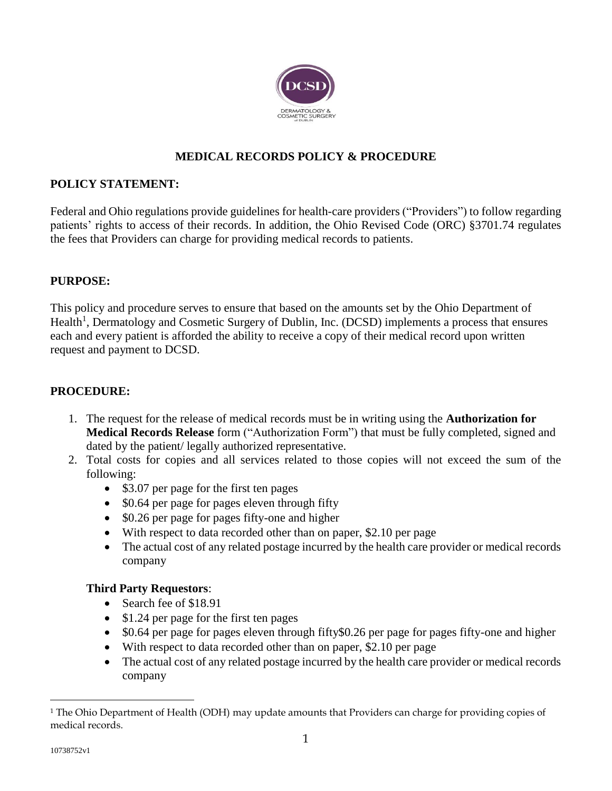

# **MEDICAL RECORDS POLICY & PROCEDURE**

# **POLICY STATEMENT:**

Federal and Ohio regulations provide guidelines for health-care providers ("Providers") to follow regarding patients' rights to access of their records. In addition, the Ohio Revised Code (ORC) §3701.74 regulates the fees that Providers can charge for providing medical records to patients.

# **PURPOSE:**

This policy and procedure serves to ensure that based on the amounts set by the Ohio Department of Health<sup>1</sup>, Dermatology and Cosmetic Surgery of Dublin, Inc. (DCSD) implements a process that ensures each and every patient is afforded the ability to receive a copy of their medical record upon written request and payment to DCSD.

### **PROCEDURE:**

- 1. The request for the release of medical records must be in writing using the **Authorization for Medical Records Release** form ("Authorization Form") that must be fully completed, signed and dated by the patient/ legally authorized representative.
- 2. Total costs for copies and all services related to those copies will not exceed the sum of the following:
	- \$3.07 per page for the first ten pages
	- \$0.64 per page for pages eleven through fifty
	- \$0.26 per page for pages fifty-one and higher
	- With respect to data recorded other than on paper, \$2.10 per page
	- The actual cost of any related postage incurred by the health care provider or medical records company

#### **Third Party Requestors**:

- Search fee of \$18.91
- \$1.24 per page for the first ten pages
- \$0.64 per page for pages eleven through fifty\$0.26 per page for pages fifty-one and higher
- With respect to data recorded other than on paper, \$2.10 per page
- The actual cost of any related postage incurred by the health care provider or medical records company

 $\overline{a}$ 

<sup>&</sup>lt;sup>1</sup> The Ohio Department of Health (ODH) may update amounts that Providers can charge for providing copies of medical records.